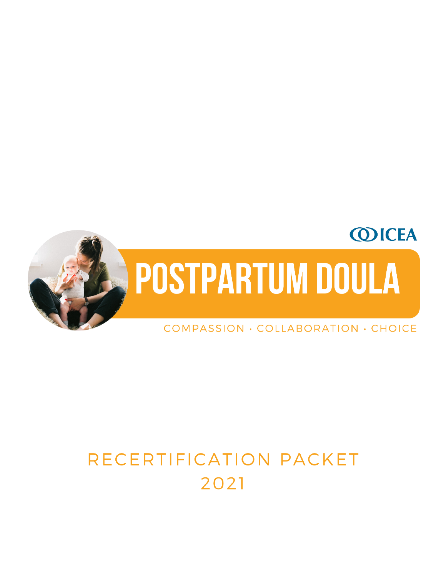

# RECERTIFICATION PACKET 2021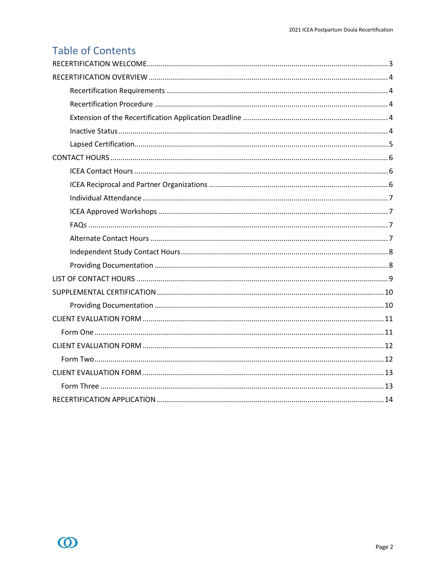# **Table of Contents**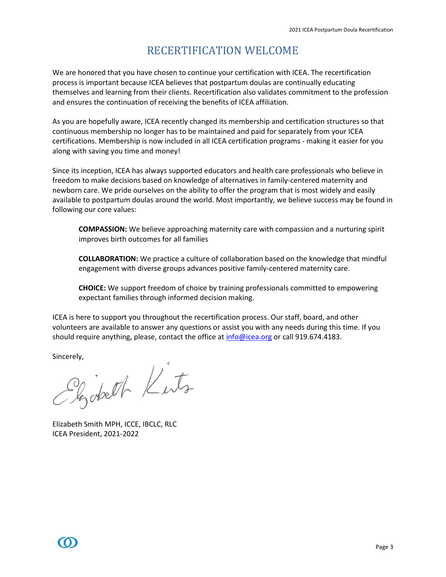### RECERTIFICATION WELCOME

<span id="page-2-0"></span>We are honored that you have chosen to continue your certification with ICEA. The recertification process is important because ICEA believes that postpartum doulas are continually educating themselves and learning from their clients. Recertification also validates commitment to the profession and ensures the continuation of receiving the benefits of ICEA affiliation.

As you are hopefully aware, ICEA recently changed its membership and certification structures so that continuous membership no longer has to be maintained and paid for separately from your ICEA certifications. Membership is now included in all ICEA certification programs - making it easier for you along with saving you time and money!

Since its inception, ICEA has always supported educators and health care professionals who believe in freedom to make decisions based on knowledge of alternatives in family-centered maternity and newborn care. We pride ourselves on the ability to offer the program that is most widely and easily available to postpartum doulas around the world. Most importantly, we believe success may be found in following our core values:

**COMPASSION:** We believe approaching maternity care with compassion and a nurturing spirit improves birth outcomes for all families

**COLLABORATION:** We practice a culture of collaboration based on the knowledge that mindful engagement with diverse groups advances positive family-centered maternity care.

**CHOICE:** We support freedom of choice by training professionals committed to empowering expectant families through informed decision making.

ICEA is here to support you throughout the recertification process. Our staff, board, and other volunteers are available to answer any questions or assist you with any needs during this time. If you should require anything, please, contact the office a[t info@icea.org](mailto:info@icea.org) or call 919.674.4183.

sincerely,<br>Sinchell Kerts

Elizabeth Smith MPH, ICCE, IBCLC, RLC ICEA President, 2021-2022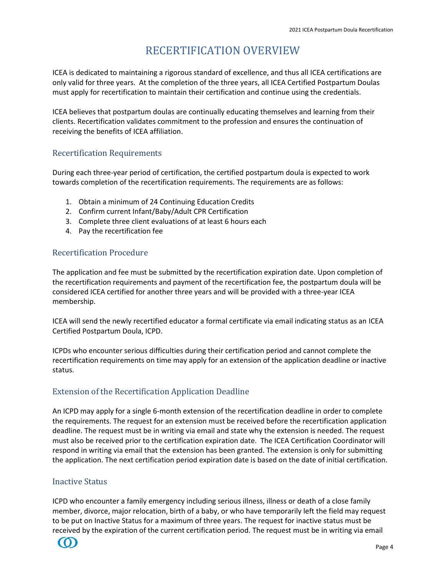## RECERTIFICATION OVERVIEW

<span id="page-3-0"></span>ICEA is dedicated to maintaining a rigorous standard of excellence, and thus all ICEA certifications are only valid for three years. At the completion of the three years, all ICEA Certified Postpartum Doulas must apply for recertification to maintain their certification and continue using the credentials.

ICEA believes that postpartum doulas are continually educating themselves and learning from their clients. Recertification validates commitment to the profession and ensures the continuation of receiving the benefits of ICEA affiliation.

#### <span id="page-3-1"></span>Recertification Requirements

During each three-year period of certification, the certified postpartum doula is expected to work towards completion of the recertification requirements. The requirements are as follows:

- 1. Obtain a minimum of 24 Continuing Education Credits
- 2. Confirm current Infant/Baby/Adult CPR Certification
- 3. Complete three client evaluations of at least 6 hours each
- 4. Pay the recertification fee

#### <span id="page-3-2"></span>Recertification Procedure

The application and fee must be submitted by the recertification expiration date. Upon completion of the recertification requirements and payment of the recertification fee, the postpartum doula will be considered ICEA certified for another three years and will be provided with a three-year ICEA membership.

ICEA will send the newly recertified educator a formal certificate via email indicating status as an ICEA Certified Postpartum Doula, ICPD.

ICPDs who encounter serious difficulties during their certification period and cannot complete the recertification requirements on time may apply for an extension of the application deadline or inactive status.

#### <span id="page-3-3"></span>Extension of the Recertification Application Deadline

An ICPD may apply for a single 6-month extension of the recertification deadline in order to complete the requirements. The request for an extension must be received before the recertification application deadline. The request must be in writing via email and state why the extension is needed. The request must also be received prior to the certification expiration date. The ICEA Certification Coordinator will respond in writing via email that the extension has been granted. The extension is only for submitting the application. The next certification period expiration date is based on the date of initial certification.

#### <span id="page-3-4"></span>Inactive Status

ICPD who encounter a family emergency including serious illness, illness or death of a close family member, divorce, major relocation, birth of a baby, or who have temporarily left the field may request to be put on Inactive Status for a maximum of three years. The request for inactive status must be received by the expiration of the current certification period. The request must be in writing via email

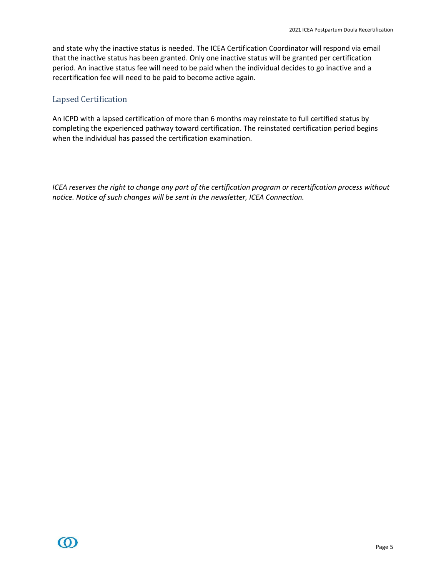and state why the inactive status is needed. The ICEA Certification Coordinator will respond via email that the inactive status has been granted. Only one inactive status will be granted per certification period. An inactive status fee will need to be paid when the individual decides to go inactive and a recertification fee will need to be paid to become active again.

#### <span id="page-4-0"></span>Lapsed Certification

An ICPD with a lapsed certification of more than 6 months may reinstate to full certified status by completing the experienced pathway toward certification. The reinstated certification period begins when the individual has passed the certification examination.

*ICEA reserves the right to change any part of the certification program or recertification process without notice. Notice of such changes will be sent in the newsletter, ICEA Connection.*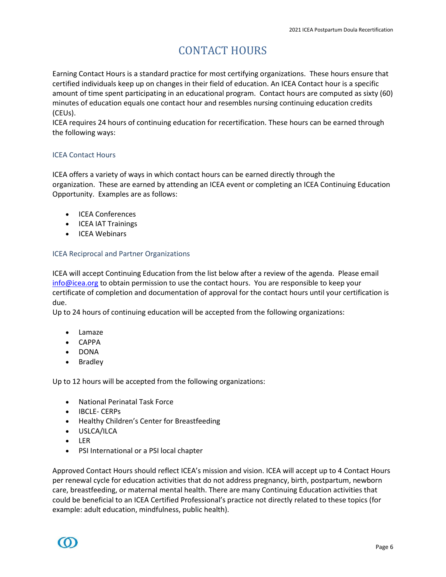# CONTACT HOURS

<span id="page-5-0"></span>Earning Contact Hours is a standard practice for most certifying organizations. These hours ensure that certified individuals keep up on changes in their field of education. An ICEA Contact hour is a specific amount of time spent participating in an educational program. Contact hours are computed as sixty (60) minutes of education equals one contact hour and resembles nursing continuing education credits (CEUs).

ICEA requires 24 hours of continuing education for recertification. These hours can be earned through the following ways:

#### <span id="page-5-1"></span>ICEA Contact Hours

ICEA offers a variety of ways in which contact hours can be earned directly through the organization. These are earned by attending an ICEA event or completing an ICEA Continuing Education Opportunity. Examples are as follows:

- ICEA Conferences
- ICEA IAT Trainings
- ICEA Webinars

#### <span id="page-5-2"></span>ICEA Reciprocal and Partner Organizations

ICEA will accept Continuing Education from the list below after a review of the agenda. Please email [info@icea.org](mailto:info@icea.org) to obtain permission to use the contact hours. You are responsible to keep your certificate of completion and documentation of approval for the contact hours until your certification is due.

Up to 24 hours of continuing education will be accepted from the following organizations:

- Lamaze
- CAPPA
- DONA
- Bradley

Up to 12 hours will be accepted from the following organizations:

- National Perinatal Task Force
- IBCLE- CERPs
- Healthy Children's Center for Breastfeeding
- USLCA/ILCA
- LER
- PSI International or a PSI local chapter

Approved Contact Hours should reflect ICEA's mission and vision. ICEA will accept up to 4 Contact Hours per renewal cycle for education activities that do not address pregnancy, birth, postpartum, newborn care, breastfeeding, or maternal mental health. There are many Continuing Education activities that could be beneficial to an ICEA Certified Professional's practice not directly related to these topics (for example: adult education, mindfulness, public health).

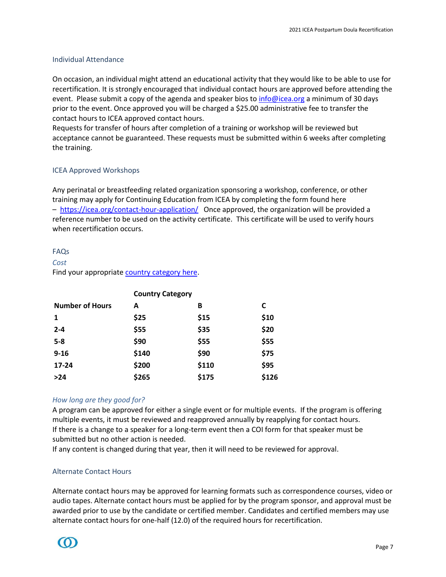#### <span id="page-6-0"></span>Individual Attendance

On occasion, an individual might attend an educational activity that they would like to be able to use for recertification. It is strongly encouraged that individual contact hours are approved before attending the event. Please submit a copy of the agenda and speaker bios to [info@icea.org](mailto:info@icea.org) a minimum of 30 days prior to the event. Once approved you will be charged a \$25.00 administrative fee to transfer the contact hours to ICEA approved contact hours.

Requests for transfer of hours after completion of a training or workshop will be reviewed but acceptance cannot be guaranteed. These requests must be submitted within 6 weeks after completing the training.

#### <span id="page-6-1"></span>ICEA Approved Workshops

Any perinatal or breastfeeding related organization sponsoring a workshop, conference, or other training may apply for Continuing Education from ICEA by completing the form found here – <https://icea.org/contact-hour-application/>Once approved, the organization will be provided a reference number to be used on the activity certificate. This certificate will be used to verify hours when recertification occurs.

#### <span id="page-6-2"></span>FAQs

#### *Cost*

Find your appropriate [country category here.](https://icea.org/certification/equity-pricing/)

|                        | <b>Country Category</b> |       |       |
|------------------------|-------------------------|-------|-------|
| <b>Number of Hours</b> | А                       | B     | C     |
| 1                      | \$25                    | \$15  | \$10  |
| $2 - 4$                | \$55                    | \$35  | \$20  |
| $5-8$                  | \$90                    | \$55  | \$55  |
| $9 - 16$               | \$140                   | \$90  | \$75  |
| 17-24                  | \$200                   | \$110 | \$95  |
| $>24$                  | \$265                   | \$175 | \$126 |

#### *How long are they good for?*

A program can be approved for either a single event or for multiple events. If the program is offering multiple events, it must be reviewed and reapproved annually by reapplying for contact hours. If there is a change to a speaker for a long-term event then a COI form for that speaker must be submitted but no other action is needed.

If any content is changed during that year, then it will need to be reviewed for approval.

#### <span id="page-6-3"></span>Alternate Contact Hours

Alternate contact hours may be approved for learning formats such as correspondence courses, video or audio tapes. Alternate contact hours must be applied for by the program sponsor, and approval must be awarded prior to use by the candidate or certified member. Candidates and certified members may use alternate contact hours for one-half (12.0) of the required hours for recertification.

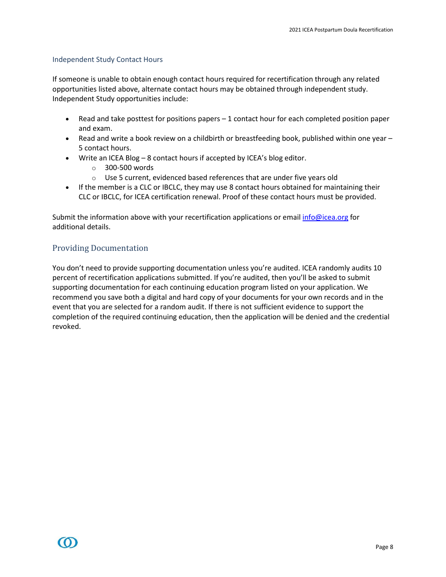#### <span id="page-7-0"></span>Independent Study Contact Hours

If someone is unable to obtain enough contact hours required for recertification through any related opportunities listed above, alternate contact hours may be obtained through independent study. Independent Study opportunities include:

- Read and take posttest for positions papers 1 contact hour for each completed position paper and exam.
- Read and write a book review on a childbirth or breastfeeding book, published within one year  $-$ 5 contact hours.
- Write an ICEA Blog 8 contact hours if accepted by ICEA's blog editor.
	- o 300-500 words
	- o Use 5 current, evidenced based references that are under five years old
- If the member is a CLC or IBCLC, they may use 8 contact hours obtained for maintaining their CLC or IBCLC, for ICEA certification renewal. Proof of these contact hours must be provided.

Submit the information above with your recertification applications or emai[l info@icea.org](mailto:info@icea.org) for additional details.

#### <span id="page-7-1"></span>Providing Documentation

You don't need to provide supporting documentation unless you're audited. ICEA randomly audits 10 percent of recertification applications submitted. If you're audited, then you'll be asked to submit supporting documentation for each continuing education program listed on your application. We recommend you save both a digital and hard copy of your documents for your own records and in the event that you are selected for a random audit. If there is not sufficient evidence to support the completion of the required continuing education, then the application will be denied and the credential revoked.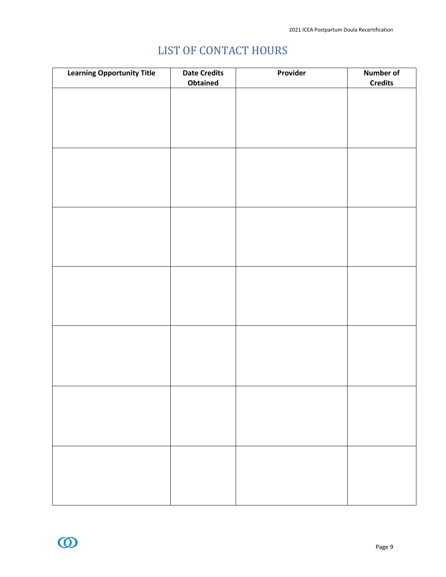# LIST OF CONTACT HOURS

<span id="page-8-0"></span>

| <b>Learning Opportunity Title</b> | <b>Date Credits</b><br>Obtained | Provider | Number of<br><b>Credits</b> |
|-----------------------------------|---------------------------------|----------|-----------------------------|
|                                   |                                 |          |                             |
|                                   |                                 |          |                             |
|                                   |                                 |          |                             |
|                                   |                                 |          |                             |
|                                   |                                 |          |                             |
|                                   |                                 |          |                             |
|                                   |                                 |          |                             |
|                                   |                                 |          |                             |
|                                   |                                 |          |                             |
|                                   |                                 |          |                             |
|                                   |                                 |          |                             |
|                                   |                                 |          |                             |
|                                   |                                 |          |                             |
|                                   |                                 |          |                             |
|                                   |                                 |          |                             |
|                                   |                                 |          |                             |
|                                   |                                 |          |                             |
|                                   |                                 |          |                             |
|                                   |                                 |          |                             |
|                                   |                                 |          |                             |
|                                   |                                 |          |                             |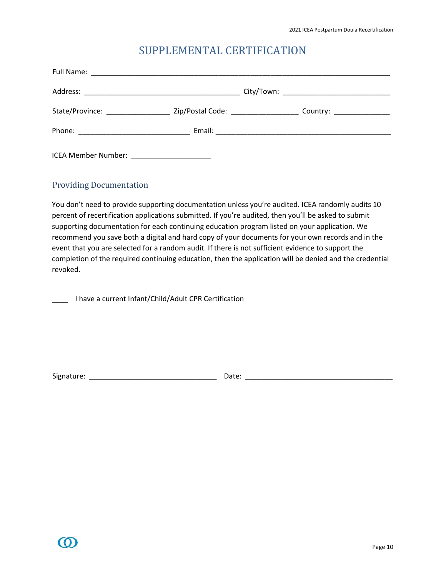### SUPPLEMENTAL CERTIFICATION

<span id="page-9-0"></span>

| State/Province: __________________________Zip/Postal Code: ________________________Country: __________________ |  |
|----------------------------------------------------------------------------------------------------------------|--|
|                                                                                                                |  |

#### <span id="page-9-1"></span>Providing Documentation

You don't need to provide supporting documentation unless you're audited. ICEA randomly audits 10 percent of recertification applications submitted. If you're audited, then you'll be asked to submit supporting documentation for each continuing education program listed on your application. We recommend you save both a digital and hard copy of your documents for your own records and in the event that you are selected for a random audit. If there is not sufficient evidence to support the completion of the required continuing education, then the application will be denied and the credential revoked.

\_\_\_\_ I have a current Infant/Child/Adult CPR Certification

Signature: \_\_\_\_\_\_\_\_\_\_\_\_\_\_\_\_\_\_\_\_\_\_\_\_\_\_\_\_\_\_\_\_ Date: \_\_\_\_\_\_\_\_\_\_\_\_\_\_\_\_\_\_\_\_\_\_\_\_\_\_\_\_\_\_\_\_\_\_\_\_\_

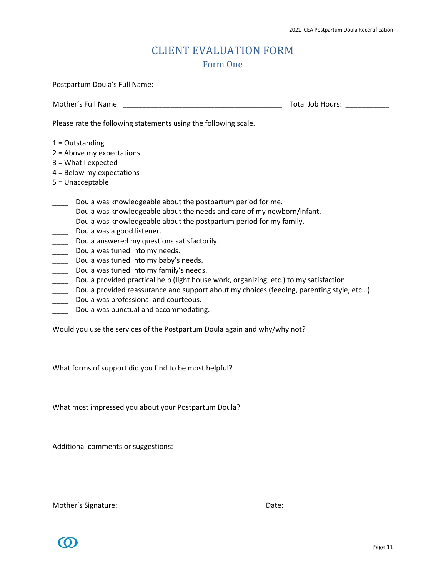### CLIENT EVALUATION FORM Form One

<span id="page-10-1"></span><span id="page-10-0"></span>

|                                                                                                                                                                                                                                                                                                                                                                                                                                                                                                                                                                                                                                                                                                                                                                                                                                                                               | Total Job Hours: |  |  |
|-------------------------------------------------------------------------------------------------------------------------------------------------------------------------------------------------------------------------------------------------------------------------------------------------------------------------------------------------------------------------------------------------------------------------------------------------------------------------------------------------------------------------------------------------------------------------------------------------------------------------------------------------------------------------------------------------------------------------------------------------------------------------------------------------------------------------------------------------------------------------------|------------------|--|--|
| Please rate the following statements using the following scale.                                                                                                                                                                                                                                                                                                                                                                                                                                                                                                                                                                                                                                                                                                                                                                                                               |                  |  |  |
| $1 =$ Outstanding<br>$2 =$ Above my expectations<br>$3 = What I expected$<br>$4 =$ Below my expectations<br>5 = Unacceptable                                                                                                                                                                                                                                                                                                                                                                                                                                                                                                                                                                                                                                                                                                                                                  |                  |  |  |
| Doula was knowledgeable about the postpartum period for me.<br>Doula was knowledgeable about the needs and care of my newborn/infant.<br>$\frac{1}{1}$<br>Doula was knowledgeable about the postpartum period for my family.<br>$\frac{1}{1}$<br>Doula was a good listener.<br>$\frac{1}{1}$<br>Doula answered my questions satisfactorily.<br>$\frac{1}{1}$<br>Doula was tuned into my needs.<br>$\frac{1}{1}$<br>Doula was tuned into my baby's needs.<br>$\frac{1}{1}$<br>Doula was tuned into my family's needs.<br>$\frac{1}{1}$<br>Doula provided practical help (light house work, organizing, etc.) to my satisfaction.<br>$\frac{1}{\sqrt{1-\frac{1}{2}}}$<br>Doula provided reassurance and support about my choices (feeding, parenting style, etc).<br>$\overline{\phantom{a}}$<br>Doula was professional and courteous.<br>Doula was punctual and accommodating. |                  |  |  |

Would you use the services of the Postpartum Doula again and why/why not?

What forms of support did you find to be most helpful?

What most impressed you about your Postpartum Doula?

Additional comments or suggestions:

Mother's Signature: \_\_\_\_\_\_\_\_\_\_\_\_\_\_\_\_\_\_\_\_\_\_\_\_\_\_\_\_\_\_\_\_\_\_\_ Date: \_\_\_\_\_\_\_\_\_\_\_\_\_\_\_\_\_\_\_\_\_\_\_\_\_\_

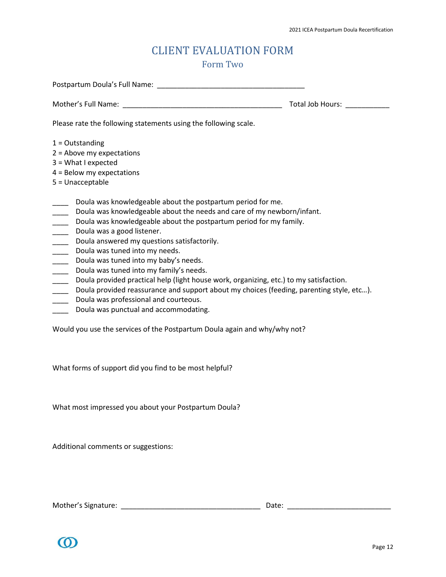### CLIENT EVALUATION FORM Form Two

<span id="page-11-1"></span><span id="page-11-0"></span>

|                                                                                                                                                                                                                                                                                                                                                                                                                                                                                                                                                                                                                                                                                                                                                       | Total Job Hours: |  |  |
|-------------------------------------------------------------------------------------------------------------------------------------------------------------------------------------------------------------------------------------------------------------------------------------------------------------------------------------------------------------------------------------------------------------------------------------------------------------------------------------------------------------------------------------------------------------------------------------------------------------------------------------------------------------------------------------------------------------------------------------------------------|------------------|--|--|
| Please rate the following statements using the following scale.                                                                                                                                                                                                                                                                                                                                                                                                                                                                                                                                                                                                                                                                                       |                  |  |  |
| $1 =$ Outstanding<br>$2 =$ Above my expectations<br>$3 = What I expected$<br>$4 =$ Below my expectations<br>5 = Unacceptable                                                                                                                                                                                                                                                                                                                                                                                                                                                                                                                                                                                                                          |                  |  |  |
| Doula was knowledgeable about the postpartum period for me.<br>$\frac{1}{1}$<br>Doula was knowledgeable about the needs and care of my newborn/infant.<br> <br> <br> <br> <br> <br><br> <br><br><br><br>Doula was knowledgeable about the postpartum period for my family.<br>Doula was a good listener.<br>Doula answered my questions satisfactorily.<br>Doula was tuned into my needs.<br>Doula was tuned into my baby's needs.<br>Doula was tuned into my family's needs.<br>Doula provided practical help (light house work, organizing, etc.) to my satisfaction.<br>Doula provided reassurance and support about my choices (feeding, parenting style, etc).<br>Doula was professional and courteous.<br>Doula was punctual and accommodating. |                  |  |  |

Would you use the services of the Postpartum Doula again and why/why not?

What forms of support did you find to be most helpful?

What most impressed you about your Postpartum Doula?

Additional comments or suggestions:

Mother's Signature: \_\_\_\_\_\_\_\_\_\_\_\_\_\_\_\_\_\_\_\_\_\_\_\_\_\_\_\_\_\_\_\_\_\_\_ Date: \_\_\_\_\_\_\_\_\_\_\_\_\_\_\_\_\_\_\_\_\_\_\_\_\_\_

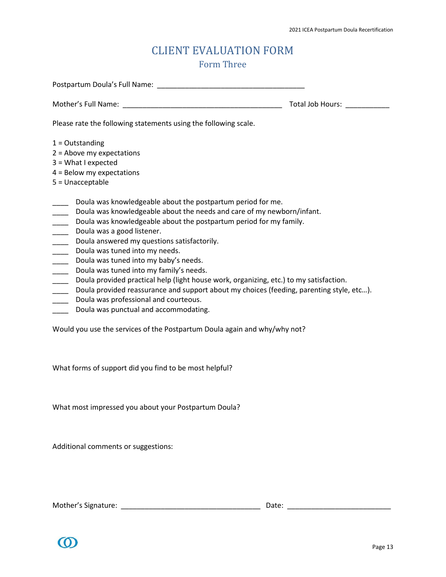### CLIENT EVALUATION FORM Form Three

<span id="page-12-1"></span><span id="page-12-0"></span>

| Postpartum Doula's Full Name: Name: Name and South Allen Manual Allen Manual Allen Manual Allen Manual Allen Ma                                                                                                                                                                                                                                                                                                                                                                                                                                                                                                                                                                                                                                            |                  |  |  |
|------------------------------------------------------------------------------------------------------------------------------------------------------------------------------------------------------------------------------------------------------------------------------------------------------------------------------------------------------------------------------------------------------------------------------------------------------------------------------------------------------------------------------------------------------------------------------------------------------------------------------------------------------------------------------------------------------------------------------------------------------------|------------------|--|--|
|                                                                                                                                                                                                                                                                                                                                                                                                                                                                                                                                                                                                                                                                                                                                                            | Total Job Hours: |  |  |
| Please rate the following statements using the following scale.                                                                                                                                                                                                                                                                                                                                                                                                                                                                                                                                                                                                                                                                                            |                  |  |  |
| $1 =$ Outstanding<br>$2 =$ Above my expectations<br>$3 = What I expected$<br>$4 =$ Below my expectations<br>5 = Unacceptable                                                                                                                                                                                                                                                                                                                                                                                                                                                                                                                                                                                                                               |                  |  |  |
| Doula was knowledgeable about the postpartum period for me.<br>Doula was knowledgeable about the needs and care of my newborn/infant.<br>Doula was knowledgeable about the postpartum period for my family.<br>Doula was a good listener.<br>Doula answered my questions satisfactorily.<br>Doula was tuned into my needs.<br>Doula was tuned into my baby's needs.<br>$\frac{1}{1}$<br>Doula was tuned into my family's needs.<br>$\frac{1}{1}$<br>Doula provided practical help (light house work, organizing, etc.) to my satisfaction.<br>$\frac{1}{1}$<br>Doula provided reassurance and support about my choices (feeding, parenting style, etc).<br>$\frac{1}{1}$<br>Doula was professional and courteous.<br>Doula was punctual and accommodating. |                  |  |  |

Would you use the services of the Postpartum Doula again and why/why not?

What forms of support did you find to be most helpful?

What most impressed you about your Postpartum Doula?

Additional comments or suggestions:

Mother's Signature: \_\_\_\_\_\_\_\_\_\_\_\_\_\_\_\_\_\_\_\_\_\_\_\_\_\_\_\_\_\_\_\_\_\_\_ Date: \_\_\_\_\_\_\_\_\_\_\_\_\_\_\_\_\_\_\_\_\_\_\_\_\_\_

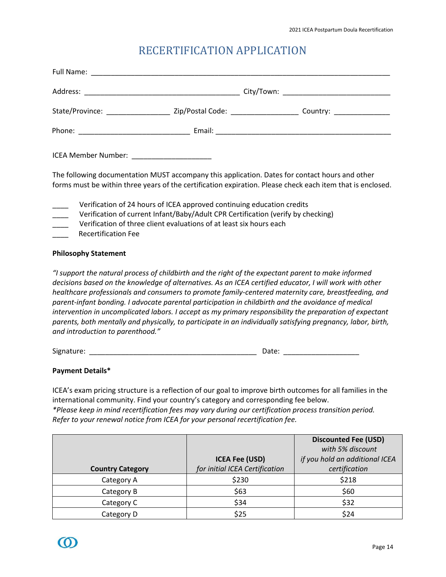### RECERTIFICATION APPLICATION

<span id="page-13-0"></span>

|                                                                                                                                                                                                                                                                                                                                                                                                                       | ICEA Member Number: ______________________                                                                                                                                                                                                                                                                            |                                                                                                            |  |
|-----------------------------------------------------------------------------------------------------------------------------------------------------------------------------------------------------------------------------------------------------------------------------------------------------------------------------------------------------------------------------------------------------------------------|-----------------------------------------------------------------------------------------------------------------------------------------------------------------------------------------------------------------------------------------------------------------------------------------------------------------------|------------------------------------------------------------------------------------------------------------|--|
|                                                                                                                                                                                                                                                                                                                                                                                                                       | The following documentation MUST accompany this application. Dates for contact hours and other                                                                                                                                                                                                                        | forms must be within three years of the certification expiration. Please check each item that is enclosed. |  |
| $\frac{1}{\frac{1}{1-\frac{1}{1-\frac{1}{1-\frac{1}{1-\frac{1}{1-\frac{1}{1-\frac{1}{1-\frac{1}{1-\frac{1}{1-\frac{1}{1-\frac{1}{1-\frac{1}{1-\frac{1}{1-\frac{1}{1-\frac{1}{1-\frac{1}{1-\frac{1}{1-\frac{1}{1-\frac{1}{1-\frac{1}{1-\frac{1}{1-\frac{1}{1-\frac{1}{1-\frac{1}{1-\frac{1}{1-\frac{1}{1-\frac{1}{1-\frac{1}{1-\frac{1}{1-\frac{1}{1-\frac{1}{1-\frac{1}{1-\frac{1}{1-\frac{1}{1-\frac{1}{1-\frac{1}{$ | Verification of 24 hours of ICEA approved continuing education credits<br>Verification of current Infant/Baby/Adult CPR Certification (verify by checking)<br>Verification of three client evaluations of at least six hours each<br><b>Recertification Fee</b>                                                       |                                                                                                            |  |
| <b>Philosophy Statement</b>                                                                                                                                                                                                                                                                                                                                                                                           |                                                                                                                                                                                                                                                                                                                       |                                                                                                            |  |
|                                                                                                                                                                                                                                                                                                                                                                                                                       | "I support the natural process of childbirth and the right of the expectant parent to make informed<br>decisions based on the knowledge of alternatives. As an ICEA certified educator, I will work with other<br>parent-infant bonding. I advocate parental participation in childbirth and the avoidance of medical | healthcare professionals and consumers to promote family-centered maternity care, breastfeeding, and       |  |

*intervention in uncomplicated labors. I accept as my primary responsibility the preparation of expectant parents, both mentally and physically, to participate in an individually satisfying pregnancy, labor, birth, and introduction to parenthood."*

Signature: \_\_\_\_\_\_\_\_\_\_\_\_\_\_\_\_\_\_\_\_\_\_\_\_\_\_\_\_\_\_\_\_\_\_\_\_\_\_\_\_\_\_ Date: \_\_\_\_\_\_\_\_\_\_\_\_\_\_\_\_\_\_\_

**Payment Details\***

ICEA's exam pricing structure is a reflection of our goal to improve birth outcomes for all families in the international community. Find your country's category and corresponding fee below. *\*Please keep in mind recertification fees may vary during our certification process transition period. Refer to your renewal notice from ICEA for your personal recertification fee.*

|                         |                                | <b>Discounted Fee (USD)</b>    |
|-------------------------|--------------------------------|--------------------------------|
|                         |                                | with 5% discount               |
|                         | <b>ICEA Fee (USD)</b>          | if you hold an additional ICEA |
| <b>Country Category</b> | for initial ICEA Certification | certification                  |
| Category A              | \$230                          | \$218                          |
| Category B              | \$63                           | \$60                           |
| Category C              | \$34                           | \$32                           |
| Category D              | \$25                           | \$24                           |